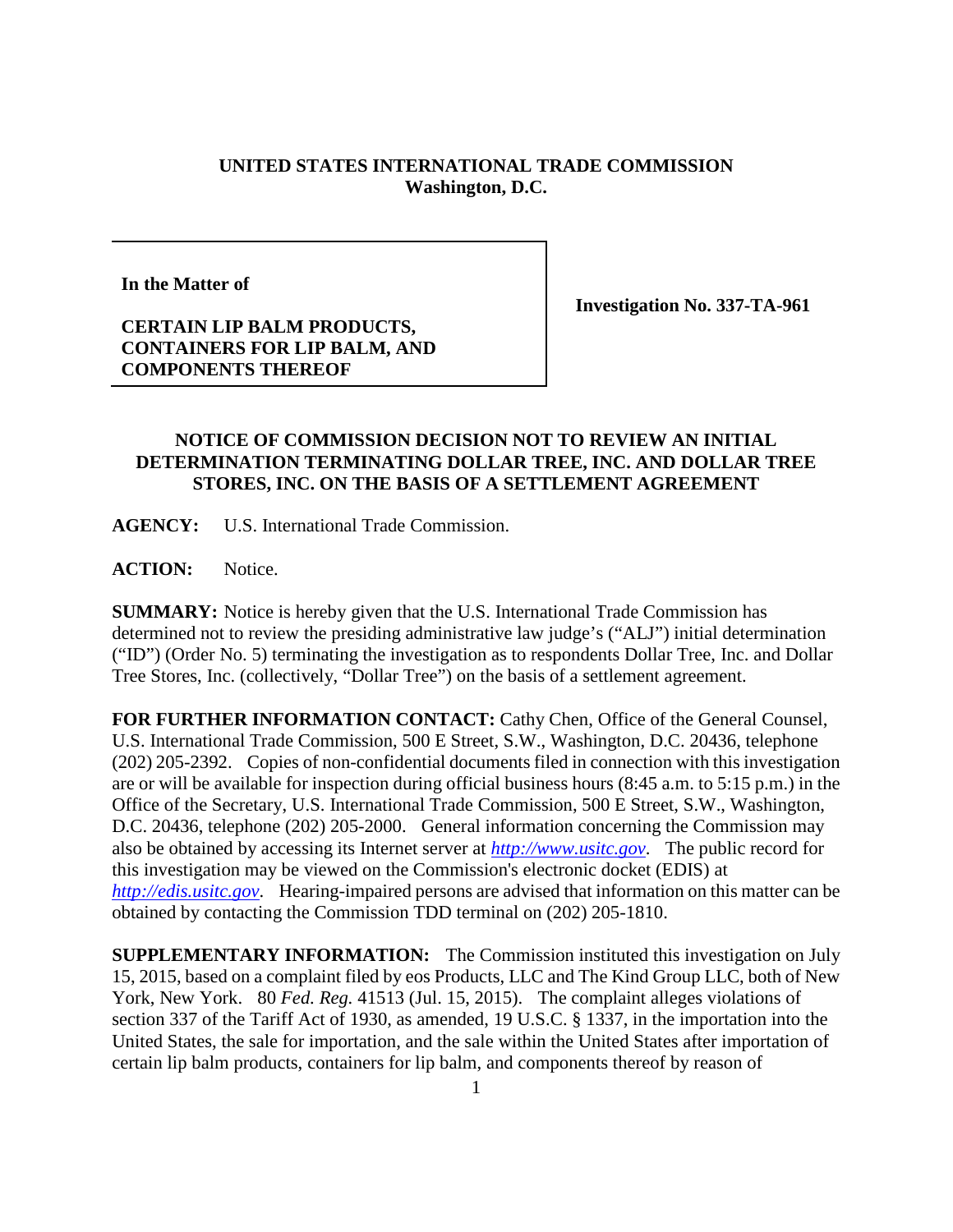## **UNITED STATES INTERNATIONAL TRADE COMMISSION Washington, D.C.**

**In the Matter of**

**Investigation No. 337-TA-961**

## **CERTAIN LIP BALM PRODUCTS, CONTAINERS FOR LIP BALM, AND COMPONENTS THEREOF**

## **NOTICE OF COMMISSION DECISION NOT TO REVIEW AN INITIAL DETERMINATION TERMINATING DOLLAR TREE, INC. AND DOLLAR TREE STORES, INC. ON THE BASIS OF A SETTLEMENT AGREEMENT**

**AGENCY:** U.S. International Trade Commission.

**ACTION:** Notice.

**SUMMARY:** Notice is hereby given that the U.S. International Trade Commission has determined not to review the presiding administrative law judge's ("ALJ") initial determination ("ID") (Order No. 5) terminating the investigation as to respondents Dollar Tree, Inc. and Dollar Tree Stores, Inc. (collectively, "Dollar Tree") on the basis of a settlement agreement.

**FOR FURTHER INFORMATION CONTACT:** Cathy Chen, Office of the General Counsel, U.S. International Trade Commission, 500 E Street, S.W., Washington, D.C. 20436, telephone (202) 205-2392. Copies of non-confidential documents filed in connection with this investigation are or will be available for inspection during official business hours (8:45 a.m. to 5:15 p.m.) in the Office of the Secretary, U.S. International Trade Commission, 500 E Street, S.W., Washington, D.C. 20436, telephone (202) 205-2000. General information concerning the Commission may also be obtained by accessing its Internet server at *[http://www.usitc.gov](http://www.usitc.gov/)*. The public record for this investigation may be viewed on the Commission's electronic docket (EDIS) at *[http://edis.usitc.gov](http://edis.usitc.gov/)*. Hearing-impaired persons are advised that information on this matter can be obtained by contacting the Commission TDD terminal on (202) 205-1810.

**SUPPLEMENTARY INFORMATION:** The Commission instituted this investigation on July 15, 2015, based on a complaint filed by eos Products, LLC and The Kind Group LLC, both of New York, New York. 80 *Fed. Reg.* 41513 (Jul. 15, 2015). The complaint alleges violations of section 337 of the Tariff Act of 1930, as amended, 19 U.S.C. § 1337, in the importation into the United States, the sale for importation, and the sale within the United States after importation of certain lip balm products, containers for lip balm, and components thereof by reason of